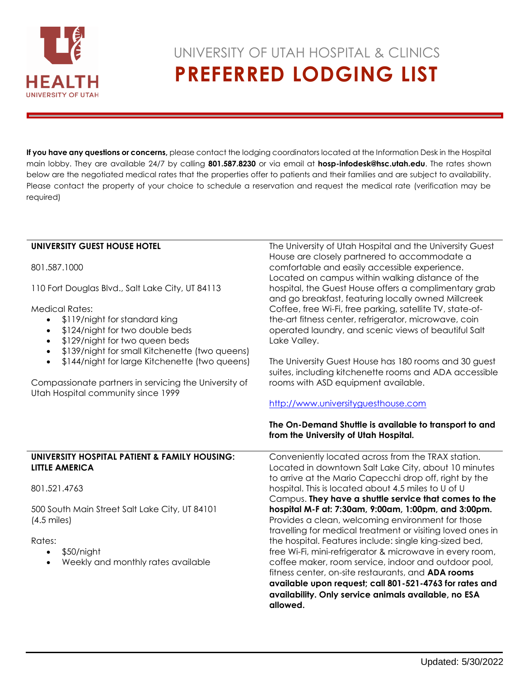

# UNIVERSITY OF UTAH HOSPITAL & CLINICS  **PREFERRED LODGING LIST**

**If you have any questions or concerns,** please contact the lodging coordinators located at the Information Desk in the Hospital main lobby. They are available 24/7 by calling **801.587.8230** or via email at **hosp-infodesk@hsc.utah.edu**. The rates shown below are the negotiated medical rates that the properties offer to patients and their families and are subject to availability. Please contact the property of your choice to schedule a reservation and request the medical rate (verification may be required)

| UNIVERSITY GUEST HOUSE HOTEL                                                                | The University of Utah Hospital and the University Guest<br>House are closely partnered to accommodate a     |
|---------------------------------------------------------------------------------------------|--------------------------------------------------------------------------------------------------------------|
| 801.587.1000                                                                                | comfortable and easily accessible experience.<br>Located on campus within walking distance of the            |
| 110 Fort Douglas Blvd., Salt Lake City, UT 84113                                            | hospital, the Guest House offers a complimentary grab<br>and go breakfast, featuring locally owned Millcreek |
| <b>Medical Rates:</b>                                                                       | Coffee, free Wi-Fi, free parking, satellite TV, state-of-                                                    |
| \$119/night for standard king                                                               | the-art fitness center, refrigerator, microwave, coin                                                        |
| \$124/night for two double beds<br>$\bullet$                                                | operated laundry, and scenic views of beautiful Salt                                                         |
| \$129/night for two queen beds<br>$\bullet$                                                 | Lake Valley.                                                                                                 |
| \$139/night for small Kitchenette (two queens)                                              |                                                                                                              |
| \$144/night for large Kitchenette (two queens)<br>$\bullet$                                 | The University Guest House has 180 rooms and 30 guest                                                        |
|                                                                                             | suites, including kitchenette rooms and ADA accessible                                                       |
| Compassionate partners in servicing the University of<br>Utah Hospital community since 1999 | rooms with ASD equipment available.                                                                          |
|                                                                                             | http://www.universityguesthouse.com                                                                          |
|                                                                                             |                                                                                                              |
|                                                                                             | The On-Demand Shuttle is available to transport to and                                                       |
|                                                                                             | from the University of Utah Hospital.                                                                        |
| UNIVERSITY HOSPITAL PATIENT & FAMILY HOUSING:                                               | Conveniently located across from the TRAX station.                                                           |
| <b>LITTLE AMERICA</b>                                                                       | Located in downtown Salt Lake City, about 10 minutes                                                         |
|                                                                                             | to arrive at the Mario Capecchi drop off, right by the                                                       |
| 801.521.4763                                                                                | hospital. This is located about 4.5 miles to U of U                                                          |
|                                                                                             | Campus. They have a shuttle service that comes to the                                                        |
| 500 South Main Street Salt Lake City, UT 84101                                              | hospital M-F at: 7:30am, 9:00am, 1:00pm, and 3:00pm.                                                         |
| $(4.5 \text{ miles})$                                                                       | Provides a clean, welcoming environment for those                                                            |
|                                                                                             | travelling for medical treatment or visiting loved ones in                                                   |
| Rates:                                                                                      | the hospital. Features include: single king-sized bed,                                                       |
|                                                                                             |                                                                                                              |
| \$50/night                                                                                  | free Wi-Fi, mini-refrigerator & microwave in every room,                                                     |
| Weekly and monthly rates available                                                          | coffee maker, room service, indoor and outdoor pool,                                                         |
|                                                                                             | fitness center, on-site restaurants, and <b>ADA rooms</b>                                                    |
|                                                                                             | available upon request; call 801-521-4763 for rates and                                                      |
|                                                                                             | availability. Only service animals available, no ESA<br>allowed.                                             |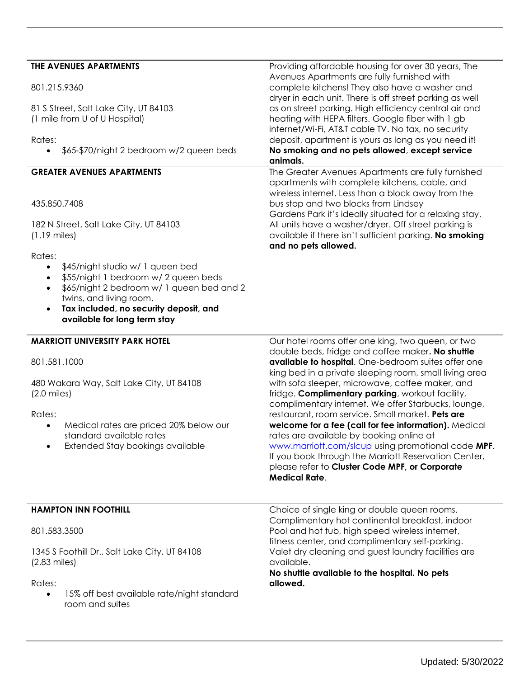## **THE AVENUES APARTMENTS**

81 S Street, Salt Lake City, UT 84103 (1 mile from U of U Hospital)

#### Rates:

• \$65-\$70/night 2 bedroom w/2 queen beds

#### **GREATER AVENUES APARTMENTS**

#### 435.850.7408

182 N Street, Salt Lake City, UT 84103 (1.19 miles)

Rates:

- \$45/night studio w/ 1 queen bed
- \$55/night 1 bedroom w/ 2 queen beds
- \$65/night 2 bedroom w/ 1 queen bed and 2 twins, and living room.
- **Tax included, no security deposit, and available for long term stay**

**MARRIOTT UNIVERSITY PARK HOTEL**

801.581.1000

480 Wakara Way, Salt Lake City, UT 84108 (2.0 miles)

Rates:

- Medical rates are priced 20% below our standard available rates
- Extended Stay bookings available

Providing affordable housing for over 30 years, The Avenues Apartments are fully furnished with complete kitchens! They also have a washer and dryer in each unit. There is off street parking as well as on street parking. High efficiency central air and heating with HEPA filters. Google fiber with 1 gb internet/Wi-Fi, AT&T cable TV. No tax, no security deposit, apartment is yours as long as you need it! **No smoking and no pets allowed**, **except service animals.**

The Greater Avenues Apartments are fully furnished apartments with complete kitchens, cable, and wireless internet. Less than a block away from the bus stop and two blocks from Lindsey Gardens Park it's ideally situated for a relaxing stay. All units have a washer/dryer. Off street parking is available if there isn't sufficient parking. **No smoking and no pets allowed.**

Our hotel rooms offer one king, two queen, or two double beds, fridge and coffee maker**. No shuttle available to hospital**. One-bedroom suites offer one king bed in a private sleeping room, small living area with sofa sleeper, microwave, coffee maker, and fridge. **Complimentary parking**, workout facility, complimentary internet. We offer Starbucks, lounge, restaurant, room service. Small market. **Pets are welcome for a fee (call for fee information).** Medical rates are available by booking online at [www.marriott.com/slcup](http://www.marriott.com/slcup) using promotional code **MPF**. If you book through the Marriott Reservation Center, please refer to **Cluster Code MPF, or Corporate Medical Rate**.

#### **HAMPTON INN FOOTHILL**

801.583.3500

1345 S Foothill Dr., Salt Lake City, UT 84108 (2.83 miles)

Rates:

 15% off best available rate/night standard room and suites

Choice of single king or double queen rooms. Complimentary hot continental breakfast, indoor Pool and hot tub, high speed wireless internet, fitness center, and complimentary self-parking. Valet dry cleaning and guest laundry facilities are available.

**No shuttle available to the hospital. No pets allowed.**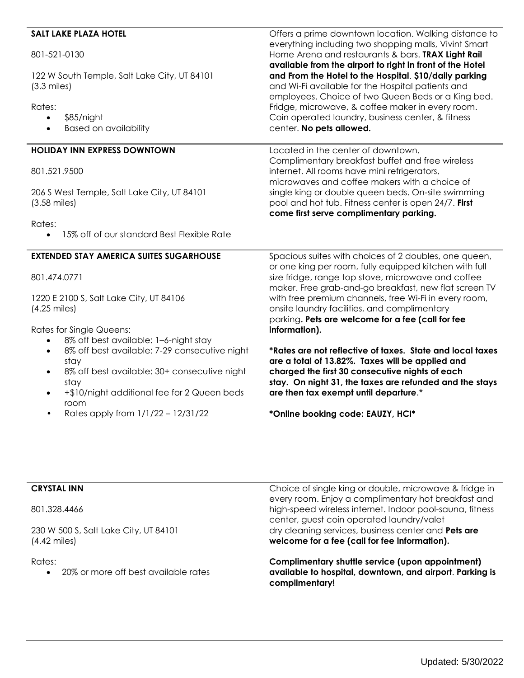| <b>SALT LAKE PLAZA HOTEL</b>                                                                                                                                 | Offers a prime downtown location. Walking distance to                                                                                                                                                                                                                |
|--------------------------------------------------------------------------------------------------------------------------------------------------------------|----------------------------------------------------------------------------------------------------------------------------------------------------------------------------------------------------------------------------------------------------------------------|
| 801-521-0130                                                                                                                                                 | everything including two shopping malls, Vivint Smart<br>Home Arena and restaurants & bars. TRAX Light Rail                                                                                                                                                          |
| 122 W South Temple, Salt Lake City, UT 84101<br>$(3.3 \text{ miles})$                                                                                        | available from the airport to right in front of the Hotel<br>and From the Hotel to the Hospital. \$10/daily parking<br>and Wi-Fi available for the Hospital patients and<br>employees. Choice of two Queen Beds or a King bed.                                       |
| Rates:<br>\$85/night<br>$\bullet$<br><b>Based on availability</b><br>$\bullet$                                                                               | Fridge, microwave, & coffee maker in every room.<br>Coin operated laundry, business center, & fitness<br>center. No pets allowed.                                                                                                                                    |
| <b>HOLIDAY INN EXPRESS DOWNTOWN</b>                                                                                                                          | Located in the center of downtown.                                                                                                                                                                                                                                   |
| 801.521.9500                                                                                                                                                 | Complimentary breakfast buffet and free wireless<br>internet. All rooms have mini refrigerators,<br>microwaves and coffee makers with a choice of                                                                                                                    |
| 206 S West Temple, Salt Lake City, UT 84101<br>$(3.58 \text{ miles})$                                                                                        | single king or double queen beds. On-site swimming<br>pool and hot tub. Fitness center is open 24/7. First<br>come first serve complimentary parking.                                                                                                                |
| Rates:<br>15% off of our standard Best Flexible Rate                                                                                                         |                                                                                                                                                                                                                                                                      |
| <b>EXTENDED STAY AMERICA SUITES SUGARHOUSE</b>                                                                                                               | Spacious suites with choices of 2 doubles, one queen,<br>or one king per room, fully equipped kitchen with full                                                                                                                                                      |
| 801.474.0771                                                                                                                                                 | size fridge, range top stove, microwave and coffee<br>maker. Free grab-and-go breakfast, new flat screen TV                                                                                                                                                          |
| 1220 E 2100 S, Salt Lake City, UT 84106<br>$(4.25 \text{ miles})$                                                                                            | with free premium channels, free Wi-Fi in every room,<br>onsite laundry facilities, and complimentary<br>parking. Pets are welcome for a fee (call for fee                                                                                                           |
| <b>Rates for Single Queens:</b><br>8% off best available: 1-6-night stay                                                                                     | information).                                                                                                                                                                                                                                                        |
| 8% off best available: 7-29 consecutive night<br>stay<br>8% off best available: 30+ consecutive night<br>stay<br>+\$10/night additional fee for 2 Queen beds | *Rates are not reflective of taxes. State and local taxes<br>are a total of 13.82%. Taxes will be applied and<br>charged the first 30 consecutive nights of each<br>stay. On night 31, the taxes are refunded and the stays<br>are then tax exempt until departure.* |
| room<br>Rates apply from 1/1/22 - 12/31/22                                                                                                                   | *Online booking code: EAUZY, HCI*                                                                                                                                                                                                                                    |

# **CRYSTAL INN**

801.328.4466

230 W 500 S, Salt Lake City, UT 84101 (4.42 miles)

Rates:

• 20% or more off best available rates

Choice of single king or double, microwave & fridge in every room. Enjoy a complimentary hot breakfast and high-speed wireless internet. Indoor pool-sauna, fitness center, guest coin operated laundry/valet dry cleaning services, business center and **Pets are welcome for a fee (call for fee information).**

**Complimentary shuttle service (upon appointment) available to hospital, downtown, and airport**. **Parking is complimentary!**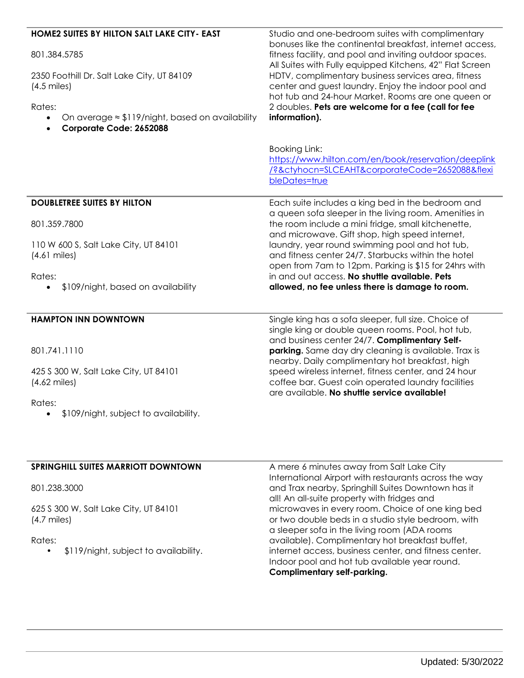| HOME2 SUITES BY HILTON SALT LAKE CITY- EAST<br>801.384.5785<br>2350 Foothill Dr. Salt Lake City, UT 84109<br>$(4.5 \text{ miles})$<br>Rates: | Studio and one-bedroom suites with complimentary<br>bonuses like the continental breakfast, internet access,<br>fitness facility, and pool and inviting outdoor spaces.<br>All Suites with Fully equipped Kitchens, 42" Flat Screen<br>HDTV, complimentary business services area, fitness<br>center and guest laundry. Enjoy the indoor pool and<br>hot tub and 24-hour Market. Rooms are one queen or<br>2 doubles. Pets are welcome for a fee (call for fee |
|----------------------------------------------------------------------------------------------------------------------------------------------|----------------------------------------------------------------------------------------------------------------------------------------------------------------------------------------------------------------------------------------------------------------------------------------------------------------------------------------------------------------------------------------------------------------------------------------------------------------|
| On average $\approx$ \$119/night, based on availability<br>Corporate Code: 2652088                                                           | information).                                                                                                                                                                                                                                                                                                                                                                                                                                                  |
|                                                                                                                                              | Booking Link:<br>https://www.hilton.com/en/book/reservation/deeplink<br>/?&ctyhocn=SLCEAHT&corporateCode=2652088&flexi<br>bleDates=true                                                                                                                                                                                                                                                                                                                        |
| <b>DOUBLETREE SUITES BY HILTON</b><br>801.359.7800                                                                                           | Each suite includes a king bed in the bedroom and<br>a queen sofa sleeper in the living room. Amenities in<br>the room include a mini fridge, small kitchenette,                                                                                                                                                                                                                                                                                               |
| 110 W 600 S, Salt Lake City, UT 84101<br>$(4.61$ miles)                                                                                      | and microwave. Gift shop, high speed internet,<br>laundry, year round swimming pool and hot tub,<br>and fitness center 24/7. Starbucks within the hotel<br>open from 7am to 12pm. Parking is \$15 for 24hrs with                                                                                                                                                                                                                                               |
| Rates:<br>\$109/night, based on availability                                                                                                 | in and out access. No shuttle available. Pets<br>allowed, no fee unless there is damage to room.                                                                                                                                                                                                                                                                                                                                                               |
| <b>HAMPTON INN DOWNTOWN</b>                                                                                                                  | Single king has a sofa sleeper, full size. Choice of<br>single king or double queen rooms. Pool, hot tub,<br>and business center 24/7. Complimentary Self-                                                                                                                                                                                                                                                                                                     |
| 801.741.1110                                                                                                                                 | parking. Same day dry cleaning is available. Trax is<br>nearby. Daily complimentary hot breakfast, high                                                                                                                                                                                                                                                                                                                                                        |
| 425 S 300 W, Salt Lake City, UT 84101<br>$(4.62$ miles)<br>Rates:                                                                            | speed wireless internet, fitness center, and 24 hour<br>coffee bar. Guest coin operated laundry facilities<br>are available. No shuttle service available!                                                                                                                                                                                                                                                                                                     |
| \$109/night, subject to availability.                                                                                                        |                                                                                                                                                                                                                                                                                                                                                                                                                                                                |

# **SPRINGHILL SUITES MARRIOTT DOWNTOWN**

801.238.3000

625 S 300 W, Salt Lake City, UT 84101 (4.7 miles)

Rates:

• \$119/night, subject to availability.

A mere 6 minutes away from Salt Lake City International Airport with restaurants across the way and Trax nearby, Springhill Suites Downtown has it all! An all-suite property with fridges and microwaves in every room. Choice of one king bed or two double beds in a studio style bedroom, with a sleeper sofa in the living room (ADA rooms available). Complimentary hot breakfast buffet, internet access, business center, and fitness center. Indoor pool and hot tub available year round. **Complimentary self-parking.**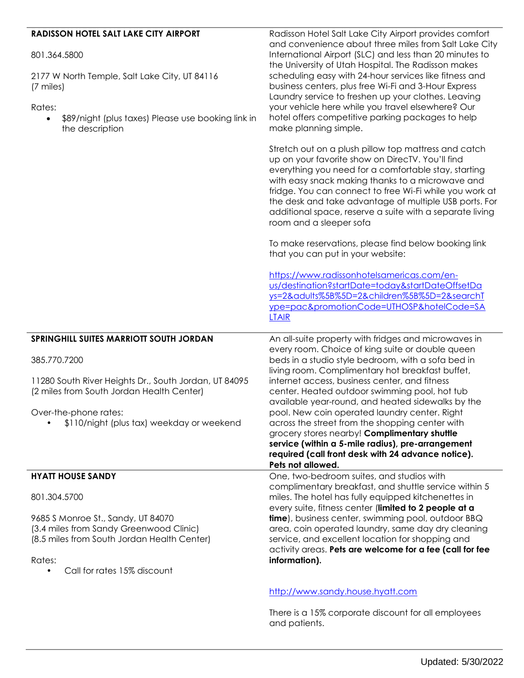## **RADISSON HOTEL SALT LAKE CITY AIRPORT**

801.364.5800

2177 W North Temple, Salt Lake City, UT 84116 (7 miles)

Rates:

 \$89/night (plus taxes) Please use booking link in the description

Radisson Hotel Salt Lake City Airport provides comfort and convenience about three miles from Salt Lake City International Airport (SLC) and less than 20 minutes to the University of Utah Hospital. The Radisson makes scheduling easy with 24-hour services like fitness and business centers, plus free Wi-Fi and 3-Hour Express Laundry service to freshen up your clothes. Leaving your vehicle here while you travel elsewhere? Our hotel offers competitive parking packages to help make planning simple.

Stretch out on a plush pillow top mattress and catch up on your favorite show on DirecTV. You'll find everything you need for a comfortable stay, starting with easy snack making thanks to a microwave and fridge. You can connect to free Wi-Fi while you work at the desk and take advantage of multiple USB ports. For additional space, reserve a suite with a separate living room and a sleeper sofa

To make reservations, please find below booking link that you can put in your website:

[https://www.radissonhotelsamericas.com/en](https://www.radissonhotelsamericas.com/en-us/destination?startDate=today&startDateOffsetDays=2&adults%5B%5D=2&children%5B%5D=2&searchType=pac&promotionCode=UTHOSP&hotelCode=SALTAIR)[us/destination?startDate=today&startDateOffsetDa](https://www.radissonhotelsamericas.com/en-us/destination?startDate=today&startDateOffsetDays=2&adults%5B%5D=2&children%5B%5D=2&searchType=pac&promotionCode=UTHOSP&hotelCode=SALTAIR) [ys=2&adults%5B%5D=2&children%5B%5D=2&searchT](https://www.radissonhotelsamericas.com/en-us/destination?startDate=today&startDateOffsetDays=2&adults%5B%5D=2&children%5B%5D=2&searchType=pac&promotionCode=UTHOSP&hotelCode=SALTAIR) [ype=pac&promotionCode=UTHOSP&hotelCode=SA](https://www.radissonhotelsamericas.com/en-us/destination?startDate=today&startDateOffsetDays=2&adults%5B%5D=2&children%5B%5D=2&searchType=pac&promotionCode=UTHOSP&hotelCode=SALTAIR) [LTAIR](https://www.radissonhotelsamericas.com/en-us/destination?startDate=today&startDateOffsetDays=2&adults%5B%5D=2&children%5B%5D=2&searchType=pac&promotionCode=UTHOSP&hotelCode=SALTAIR) **SPRINGHILL SUITES MARRIOTT SOUTH JORDAN** 385.770.7200 11280 South River Heights Dr., South Jordan, UT 84095 (2 miles from South Jordan Health Center) Over-the-phone rates: • \$110/night (plus tax) weekday or weekend An all-suite property with fridges and microwaves in every room. Choice of king suite or double queen beds in a studio style bedroom, with a sofa bed in living room. Complimentary hot breakfast buffet, internet access, business center, and fitness center. Heated outdoor swimming pool, hot tub available year-round, and heated sidewalks by the pool. New coin operated laundry center. Right across the street from the shopping center with grocery stores nearby! **Complimentary shuttle service (within a 5-mile radius), pre-arrangement required (call front desk with 24 advance notice). Pets not allowed. HYATT HOUSE SANDY** 801.304.5700 9685 S Monroe St., Sandy, UT 84070 (3.4 miles from Sandy Greenwood Clinic) (8.5 miles from South Jordan Health Center) Rates: Call for rates 15% discount One, two-bedroom suites, and studios with complimentary breakfast, and shuttle service within 5 miles. The hotel has fully equipped kitchenettes in every suite, fitness center (**limited to 2 people at a time**), business center, swimming pool, outdoor BBQ area, coin operated laundry, same day dry cleaning service, and excellent location for shopping and activity areas. **Pets are welcome for a fee (call for fee information).**

#### [http://www.sandy.house.hyatt.com](http://www.sandy.house.hyatt.com/)

There is a 15% corporate discount for all employees and patients.